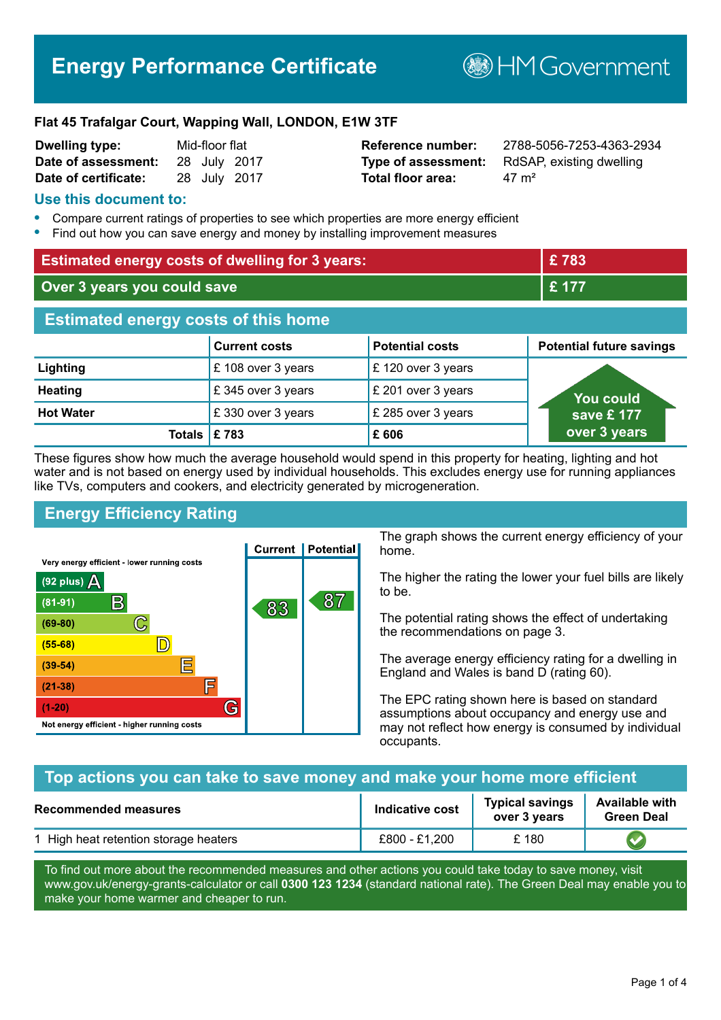# **Energy Performance Certificate**

**B**HM Government

#### **Flat 45 Trafalgar Court, Wapping Wall, LONDON, E1W 3TF**

| <b>Dwelling type:</b> | Mid-floor flat |  |              |
|-----------------------|----------------|--|--------------|
| Date of assessment:   |                |  | 28 July 2017 |
| Date of certificate:  |                |  | 28 July 2017 |

# **Total floor area:** 47 m<sup>2</sup>

**Dwelling type:** Mid-floor flat **Reference number:** 2788-5056-7253-4363-2934 **Type of assessment:** RdSAP, existing dwelling

#### **Use this document to:**

- **•** Compare current ratings of properties to see which properties are more energy efficient
- **•** Find out how you can save energy and money by installing improvement measures

| <b>Estimated energy costs of dwelling for 3 years:</b> |                      |                        | £783                            |  |
|--------------------------------------------------------|----------------------|------------------------|---------------------------------|--|
| Over 3 years you could save                            |                      | £ 177                  |                                 |  |
| <b>Estimated energy costs of this home</b>             |                      |                        |                                 |  |
|                                                        | <b>Current costs</b> | <b>Potential costs</b> | <b>Potential future savings</b> |  |
| Lighting                                               | £108 over 3 years    | £120 over 3 years      |                                 |  |
| <b>Heating</b>                                         | £345 over 3 years    | £ 201 over 3 years     | You could                       |  |
| <b>Hot Water</b>                                       | £330 over 3 years    | £ 285 over 3 years     | save £ 177                      |  |
| <b>Totals</b>                                          | E 783                | £606                   | over 3 years                    |  |

These figures show how much the average household would spend in this property for heating, lighting and hot water and is not based on energy used by individual households. This excludes energy use for running appliances like TVs, computers and cookers, and electricity generated by microgeneration.

# **Energy Efficiency Rating**



The graph shows the current energy efficiency of your home.

The higher the rating the lower your fuel bills are likely to be.

The potential rating shows the effect of undertaking the recommendations on page 3.

The average energy efficiency rating for a dwelling in England and Wales is band D (rating 60).

The EPC rating shown here is based on standard assumptions about occupancy and energy use and may not reflect how energy is consumed by individual occupants.

#### **Top actions you can take to save money and make your home more efficient**

| <b>Recommended measures</b>           | Indicative cost | <b>Typical savings</b><br>over 3 vears | <b>Available with</b><br><b>Green Deal</b> |
|---------------------------------------|-----------------|----------------------------------------|--------------------------------------------|
| 1 High heat retention storage heaters | £800 - £1,200   | £ 180                                  |                                            |

To find out more about the recommended measures and other actions you could take today to save money, visit www.gov.uk/energy-grants-calculator or call **0300 123 1234** (standard national rate). The Green Deal may enable you to make your home warmer and cheaper to run.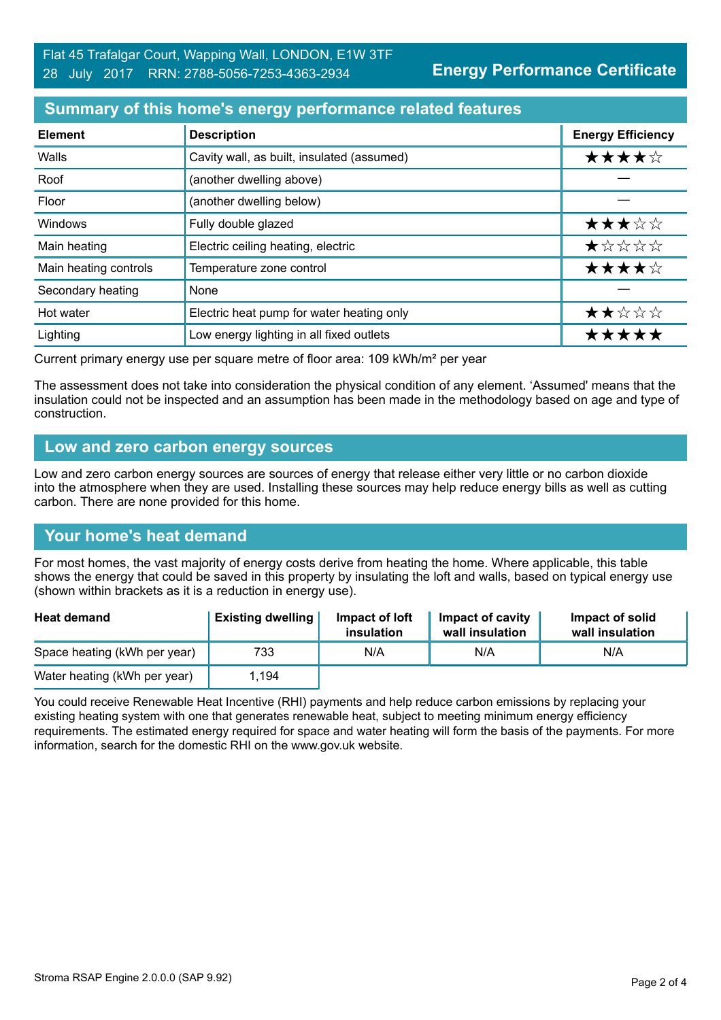## **Summary of this home's energy performance related features**

| <b>Element</b>        | <b>Description</b>                         | <b>Energy Efficiency</b> |
|-----------------------|--------------------------------------------|--------------------------|
| Walls                 | Cavity wall, as built, insulated (assumed) | ★★★★☆                    |
| Roof                  | (another dwelling above)                   |                          |
| Floor                 | (another dwelling below)                   |                          |
| Windows               | Fully double glazed                        | ★★★☆☆                    |
| Main heating          | Electric ceiling heating, electric         | *****                    |
| Main heating controls | Temperature zone control                   | ★★★★☆                    |
| Secondary heating     | None                                       |                          |
| Hot water             | Electric heat pump for water heating only  | ★★☆☆☆                    |
| Lighting              | Low energy lighting in all fixed outlets   | *****                    |

Current primary energy use per square metre of floor area: 109 kWh/m² per year

The assessment does not take into consideration the physical condition of any element. 'Assumed' means that the insulation could not be inspected and an assumption has been made in the methodology based on age and type of construction.

#### **Low and zero carbon energy sources**

Low and zero carbon energy sources are sources of energy that release either very little or no carbon dioxide into the atmosphere when they are used. Installing these sources may help reduce energy bills as well as cutting carbon. There are none provided for this home.

#### **Your home's heat demand**

For most homes, the vast majority of energy costs derive from heating the home. Where applicable, this table shows the energy that could be saved in this property by insulating the loft and walls, based on typical energy use (shown within brackets as it is a reduction in energy use).

| <b>Heat demand</b>           | <b>Existing dwelling</b> | Impact of loft<br>insulation | <b>Impact of cavity</b><br>wall insulation | Impact of solid<br>wall insulation |
|------------------------------|--------------------------|------------------------------|--------------------------------------------|------------------------------------|
| Space heating (kWh per year) | 733                      | N/A                          | N/A                                        | N/A                                |
| Water heating (kWh per year) | 1.194                    |                              |                                            |                                    |

You could receive Renewable Heat Incentive (RHI) payments and help reduce carbon emissions by replacing your existing heating system with one that generates renewable heat, subject to meeting minimum energy efficiency requirements. The estimated energy required for space and water heating will form the basis of the payments. For more information, search for the domestic RHI on the www.gov.uk website.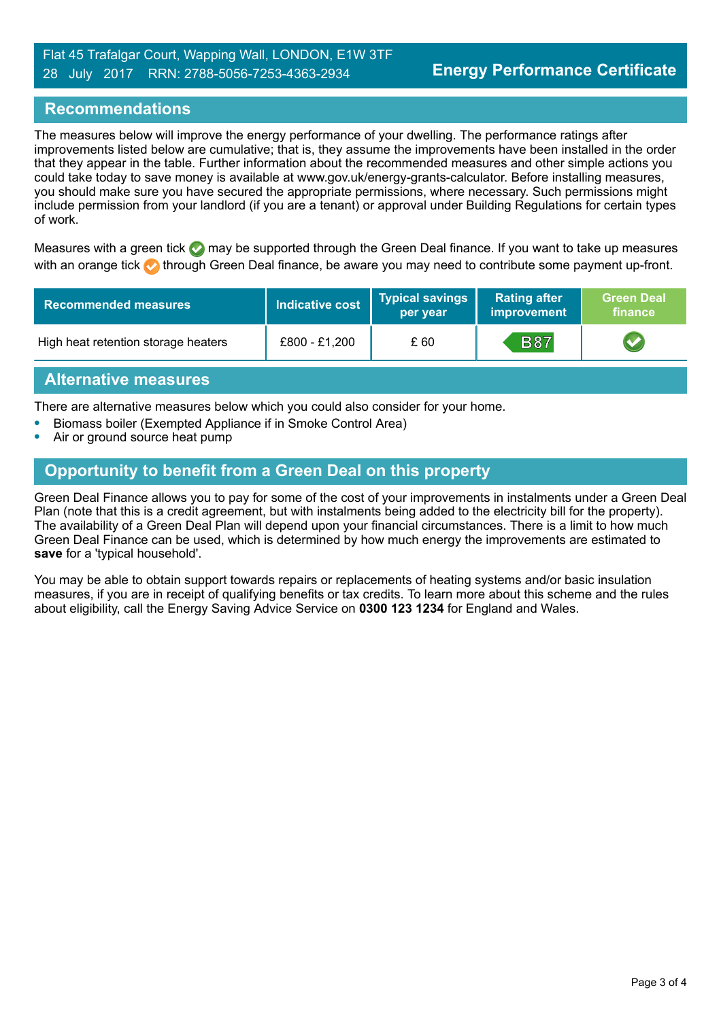## **Recommendations**

The measures below will improve the energy performance of your dwelling. The performance ratings after improvements listed below are cumulative; that is, they assume the improvements have been installed in the order that they appear in the table. Further information about the recommended measures and other simple actions you could take today to save money is available at www.gov.uk/energy-grants-calculator. Before installing measures, you should make sure you have secured the appropriate permissions, where necessary. Such permissions might include permission from your landlord (if you are a tenant) or approval under Building Regulations for certain types of work.

Measures with a green tick  $\bullet$  may be supported through the Green Deal finance. If you want to take up measures with an orange tick **th** through Green Deal finance, be aware you may need to contribute some payment up-front.

| <b>Recommended measures</b>         | <b>Indicative cost</b> | Typical savings<br>per year | <b>Rating after</b><br>improvement | <b>Green Deal</b><br>finance |
|-------------------------------------|------------------------|-----------------------------|------------------------------------|------------------------------|
| High heat retention storage heaters | £800 - £1,200          | £ 60                        | <b>B87</b>                         |                              |

#### **Alternative measures**

There are alternative measures below which you could also consider for your home.

- **•** Biomass boiler (Exempted Appliance if in Smoke Control Area)
- **•** Air or ground source heat pump

# **Opportunity to benefit from a Green Deal on this property**

Green Deal Finance allows you to pay for some of the cost of your improvements in instalments under a Green Deal Plan (note that this is a credit agreement, but with instalments being added to the electricity bill for the property). The availability of a Green Deal Plan will depend upon your financial circumstances. There is a limit to how much Green Deal Finance can be used, which is determined by how much energy the improvements are estimated to **save** for a 'typical household'.

You may be able to obtain support towards repairs or replacements of heating systems and/or basic insulation measures, if you are in receipt of qualifying benefits or tax credits. To learn more about this scheme and the rules about eligibility, call the Energy Saving Advice Service on **0300 123 1234** for England and Wales.